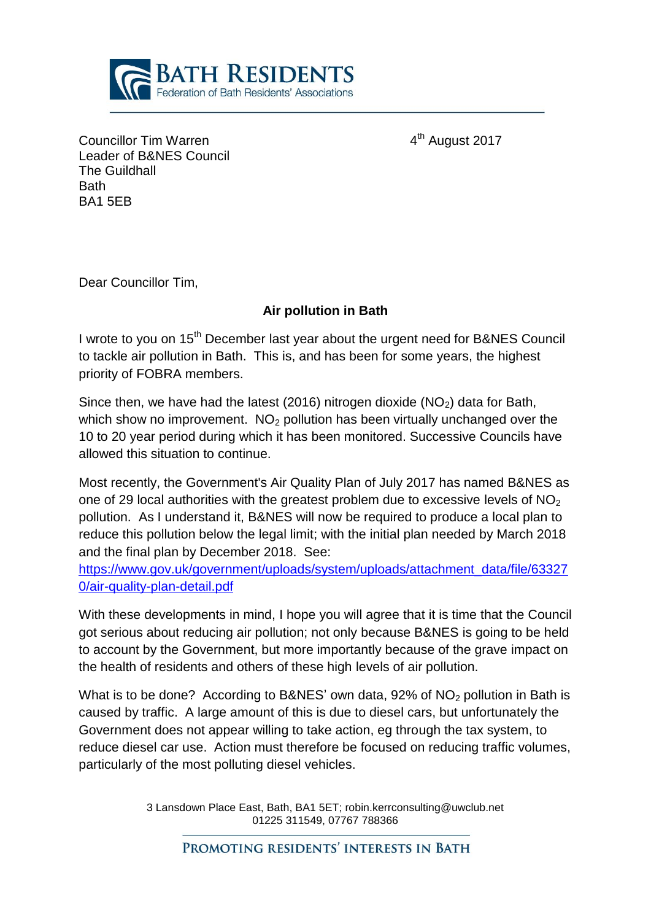

4<sup>th</sup> August 2017

Councillor Tim Warren 4 Leader of B&NES Council The Guildhall **Bath** BA1 5EB

Dear Councillor Tim,

## **Air pollution in Bath**

I wrote to you on 15<sup>th</sup> December last year about the urgent need for B&NES Council to tackle air pollution in Bath. This is, and has been for some years, the highest priority of FOBRA members.

Since then, we have had the latest (2016) nitrogen dioxide ( $NO<sub>2</sub>$ ) data for Bath, which show no improvement.  $NO<sub>2</sub>$  pollution has been virtually unchanged over the 10 to 20 year period during which it has been monitored. Successive Councils have allowed this situation to continue.

Most recently, the Government's Air Quality Plan of July 2017 has named B&NES as one of 29 local authorities with the greatest problem due to excessive levels of  $NO<sub>2</sub>$ pollution. As I understand it, B&NES will now be required to produce a local plan to reduce this pollution below the legal limit; with the initial plan needed by March 2018 and the final plan by December 2018. See:

[https://www.gov.uk/government/uploads/system/uploads/attachment\\_data/file/63327](https://www.gov.uk/government/uploads/system/uploads/attachment_data/file/633270/air-quality-plan-detail.pdf) [0/air-quality-plan-detail.pdf](https://www.gov.uk/government/uploads/system/uploads/attachment_data/file/633270/air-quality-plan-detail.pdf)

With these developments in mind, I hope you will agree that it is time that the Council got serious about reducing air pollution; not only because B&NES is going to be held to account by the Government, but more importantly because of the grave impact on the health of residents and others of these high levels of air pollution.

What is to be done? According to B&NES' own data,  $92\%$  of NO<sub>2</sub> pollution in Bath is caused by traffic. A large amount of this is due to diesel cars, but unfortunately the Government does not appear willing to take action, eg through the tax system, to reduce diesel car use. Action must therefore be focused on reducing traffic volumes, particularly of the most polluting diesel vehicles.

> 3 Lansdown Place East, Bath, BA1 5ET; robin.kerrconsulting@uwclub.net 01225 311549, 07767 788366

PROMOTING RESIDENTS' INTERESTS IN BATH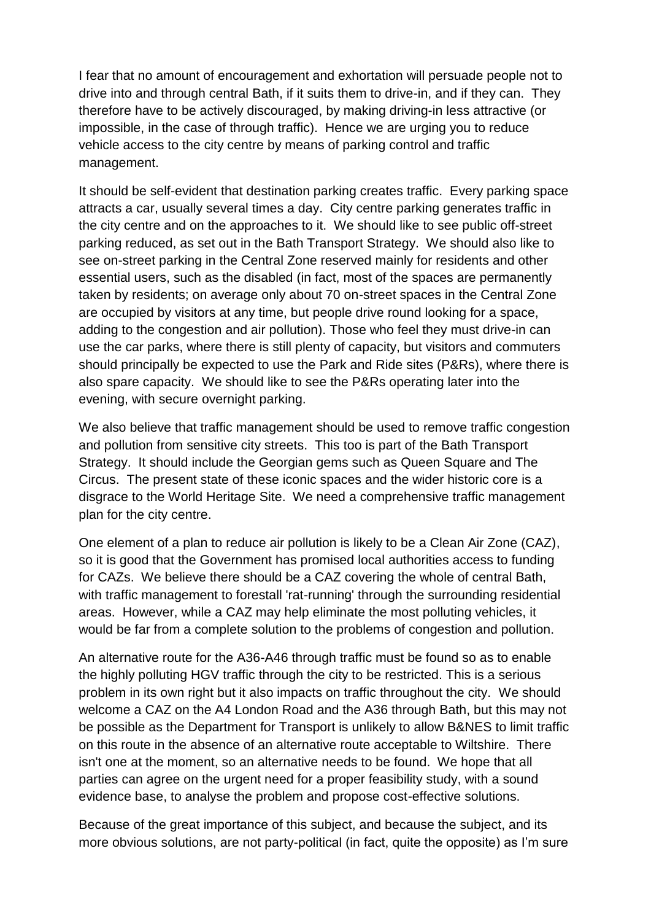I fear that no amount of encouragement and exhortation will persuade people not to drive into and through central Bath, if it suits them to drive-in, and if they can. They therefore have to be actively discouraged, by making driving-in less attractive (or impossible, in the case of through traffic). Hence we are urging you to reduce vehicle access to the city centre by means of parking control and traffic management.

It should be self-evident that destination parking creates traffic. Every parking space attracts a car, usually several times a day. City centre parking generates traffic in the city centre and on the approaches to it. We should like to see public off-street parking reduced, as set out in the Bath Transport Strategy. We should also like to see on-street parking in the Central Zone reserved mainly for residents and other essential users, such as the disabled (in fact, most of the spaces are permanently taken by residents; on average only about 70 on-street spaces in the Central Zone are occupied by visitors at any time, but people drive round looking for a space, adding to the congestion and air pollution). Those who feel they must drive-in can use the car parks, where there is still plenty of capacity, but visitors and commuters should principally be expected to use the Park and Ride sites (P&Rs), where there is also spare capacity. We should like to see the P&Rs operating later into the evening, with secure overnight parking.

We also believe that traffic management should be used to remove traffic congestion and pollution from sensitive city streets. This too is part of the Bath Transport Strategy. It should include the Georgian gems such as Queen Square and The Circus. The present state of these iconic spaces and the wider historic core is a disgrace to the World Heritage Site. We need a comprehensive traffic management plan for the city centre.

One element of a plan to reduce air pollution is likely to be a Clean Air Zone (CAZ), so it is good that the Government has promised local authorities access to funding for CAZs. We believe there should be a CAZ covering the whole of central Bath, with traffic management to forestall 'rat-running' through the surrounding residential areas. However, while a CAZ may help eliminate the most polluting vehicles, it would be far from a complete solution to the problems of congestion and pollution.

An alternative route for the A36-A46 through traffic must be found so as to enable the highly polluting HGV traffic through the city to be restricted. This is a serious problem in its own right but it also impacts on traffic throughout the city. We should welcome a CAZ on the A4 London Road and the A36 through Bath, but this may not be possible as the Department for Transport is unlikely to allow B&NES to limit traffic on this route in the absence of an alternative route acceptable to Wiltshire. There isn't one at the moment, so an alternative needs to be found. We hope that all parties can agree on the urgent need for a proper feasibility study, with a sound evidence base, to analyse the problem and propose cost-effective solutions.

Because of the great importance of this subject, and because the subject, and its more obvious solutions, are not party-political (in fact, quite the opposite) as I'm sure